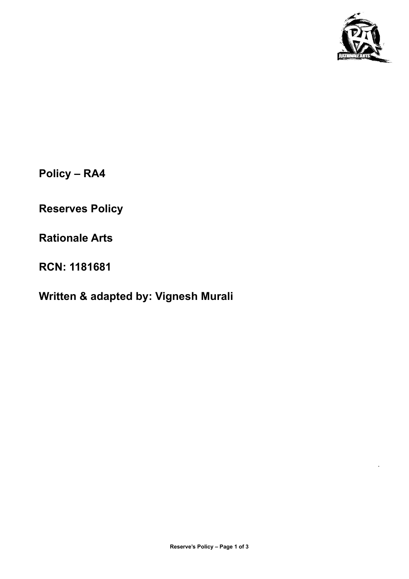

.

**Policy – RA4**

**Reserves Policy**

**Rationale Arts**

**RCN: 1181681**

# **Written & adapted by: Vignesh Murali**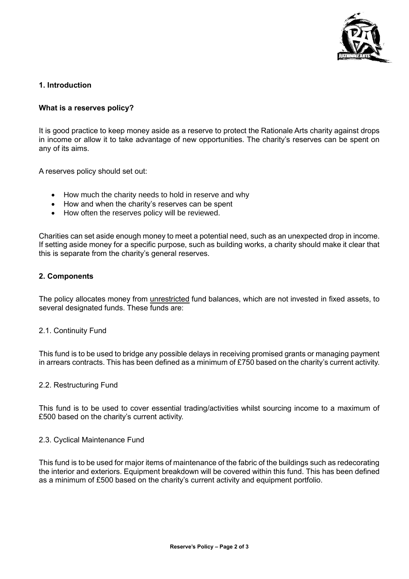

# **1. Introduction**

# **What is a reserves policy?**

It is good practice to keep money aside as a reserve to protect the Rationale Arts charity against drops in income or allow it to take advantage of new opportunities. The charity's reserves can be spent on any of its aims.

A reserves policy should set out:

- How much the charity needs to hold in reserve and why
- How and when the charity's reserves can be spent
- How often the reserves policy will be reviewed.

Charities can set aside enough money to meet a potential need, such as an unexpected drop in income. If setting aside money for a specific purpose, such as building works, a charity should make it clear that this is separate from the charity's general reserves.

#### **2. Components**

The policy allocates money from unrestricted fund balances, which are not invested in fixed assets, to several designated funds. These funds are:

#### 2.1. Continuity Fund

This fund is to be used to bridge any possible delays in receiving promised grants or managing payment in arrears contracts. This has been defined as a minimum of £750 based on the charity's current activity.

#### 2.2. Restructuring Fund

This fund is to be used to cover essential trading/activities whilst sourcing income to a maximum of £500 based on the charity's current activity.

#### 2.3. Cyclical Maintenance Fund

This fund is to be used for major items of maintenance of the fabric of the buildings such as redecorating the interior and exteriors. Equipment breakdown will be covered within this fund. This has been defined as a minimum of £500 based on the charity's current activity and equipment portfolio.